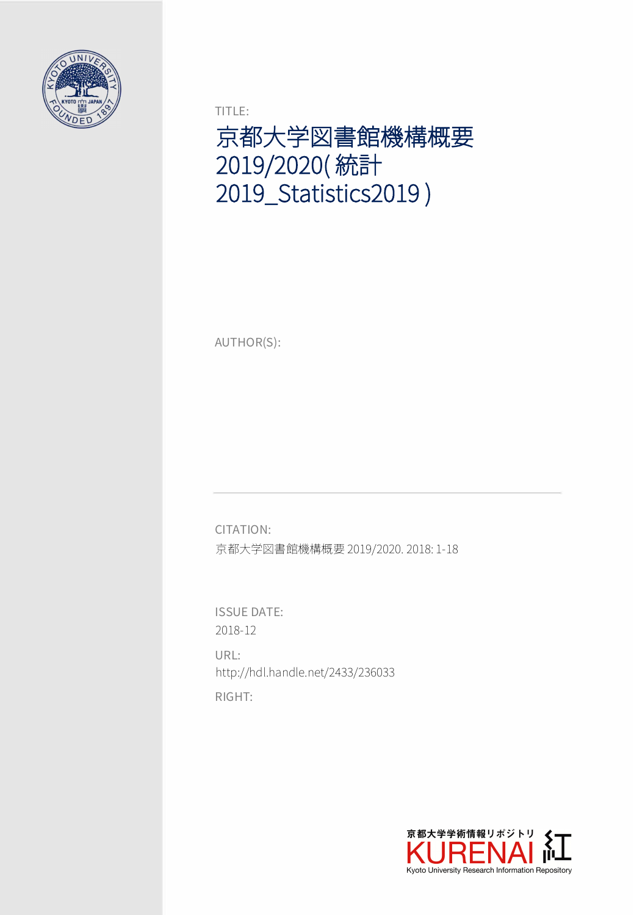

TITLE:

京都大学図書館機構概要 2019/2020( 統計 2019\_Statistics2019 )

AUTHOR(S):

CITATION: 京都大学図書館機構概要 2019/2020. 2018: 1-18

ISSUE DATE: 2018-12

RIGHT: URL: http://hdl.handle.net/2433/236033

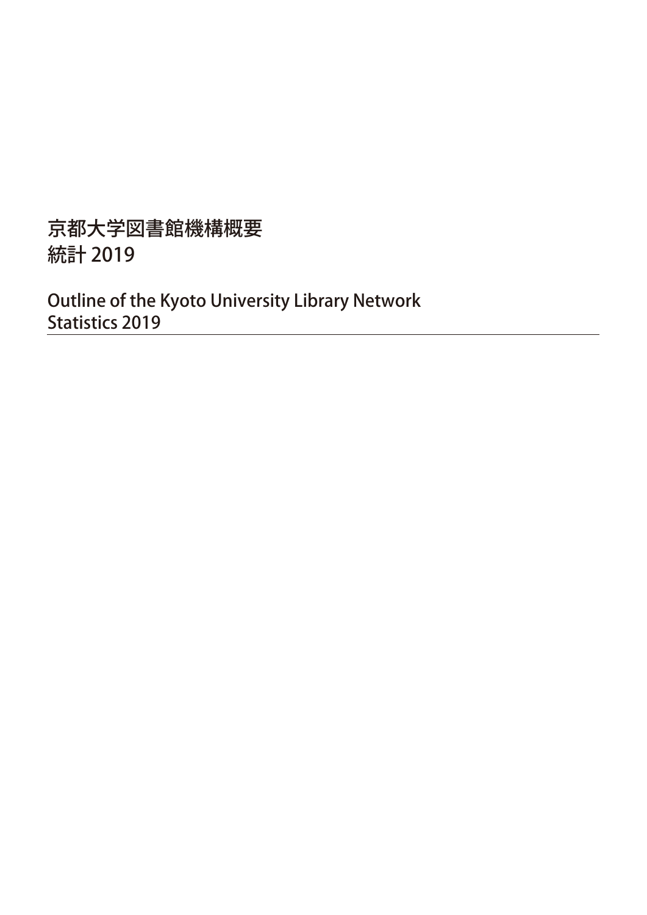## 京都大学図書館機構概要 統計 2019

Outline of the Kyoto University Library Network Statistics 2019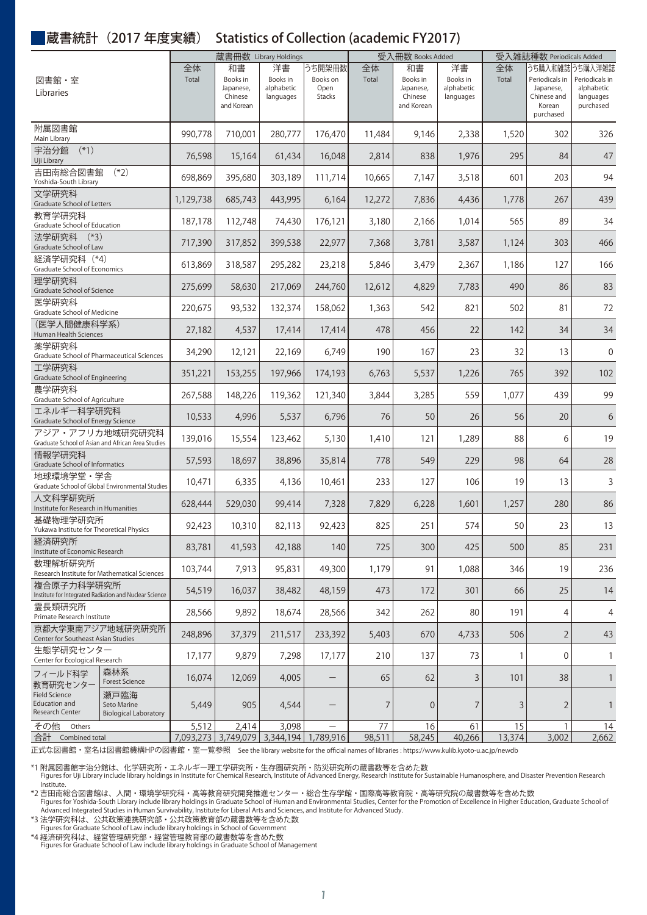### 蔵書統計(2017 年度実績) Statistics of Collection (academic FY2017)

|                                                                      | 蔵書冊数 Library Holdings                               |             |                                                      |                                           | 受入冊数 Books Added                            |             |                                                      | 受入雑誌種数 Periodicals Added                  |             |                                                                                     |                                                        |
|----------------------------------------------------------------------|-----------------------------------------------------|-------------|------------------------------------------------------|-------------------------------------------|---------------------------------------------|-------------|------------------------------------------------------|-------------------------------------------|-------------|-------------------------------------------------------------------------------------|--------------------------------------------------------|
| 図書館・室<br>Libraries                                                   |                                                     | 全体<br>Total | 和書<br>Books in<br>Japanese,<br>Chinese<br>and Korean | 洋書<br>Books in<br>alphabetic<br>languages | うち開架冊数<br>Books on<br>Open<br><b>Stacks</b> | 全体<br>Total | 和書<br>Books in<br>Japanese,<br>Chinese<br>and Korean | 洋書<br>Books in<br>alphabetic<br>languages | 全体<br>Total | うち購入和雑誌うち購入洋雑誌<br>Periodicals in<br>Japanese,<br>Chinese and<br>Korean<br>purchased | Periodicals in<br>alphabetic<br>languages<br>purchased |
| 附属図書館<br>Main Library                                                |                                                     | 990,778     | 710,001                                              | 280,777                                   | 176,470                                     | 11,484      | 9,146                                                | 2,338                                     | 1,520       | 302                                                                                 | 326                                                    |
| $(*1)$<br>宇治分館<br>Uji Library                                        |                                                     | 76,598      | 15,164                                               | 61,434                                    | 16,048                                      | 2,814       | 838                                                  | 1,976                                     | 295         | 84                                                                                  | 47                                                     |
| 吉田南総合図書館<br>Yoshida-South Library                                    | $(*2)$                                              | 698,869     | 395,680                                              | 303,189                                   | 111,714                                     | 10,665      | 7,147                                                | 3,518                                     | 601         | 203                                                                                 | 94                                                     |
| 文学研究科<br><b>Graduate School of Letters</b>                           |                                                     | 1,129,738   | 685,743                                              | 443,995                                   | 6,164                                       | 12,272      | 7,836                                                | 4,436                                     | 1,778       | 267                                                                                 | 439                                                    |
| 教育学研究科<br>Graduate School of Education                               |                                                     | 187,178     | 112,748                                              | 74,430                                    | 176,121                                     | 3,180       | 2,166                                                | 1,014                                     | 565         | 89                                                                                  | 34                                                     |
| 法学研究科<br>$(*3)$<br>Graduate School of Law                            |                                                     | 717,390     | 317,852                                              | 399,538                                   | 22,977                                      | 7,368       | 3,781                                                | 3,587                                     | 1,124       | 303                                                                                 | 466                                                    |
| 経済学研究科 (*4)<br>Graduate School of Economics                          |                                                     | 613,869     | 318,587                                              | 295,282                                   | 23,218                                      | 5,846       | 3,479                                                | 2,367                                     | 1,186       | 127                                                                                 | 166                                                    |
| 理学研究科<br>Graduate School of Science                                  |                                                     | 275,699     | 58,630                                               | 217,069                                   | 244,760                                     | 12,612      | 4,829                                                | 7,783                                     | 490         | 86                                                                                  | 83                                                     |
| 医学研究科<br>Graduate School of Medicine                                 |                                                     | 220,675     | 93,532                                               | 132,374                                   | 158,062                                     | 1,363       | 542                                                  | 821                                       | 502         | 81                                                                                  | 72                                                     |
| (医学人間健康科学系)<br>Human Health Sciences                                 |                                                     | 27,182      | 4,537                                                | 17,414                                    | 17,414                                      | 478         | 456                                                  | 22                                        | 142         | 34                                                                                  | 34                                                     |
| 薬学研究科<br>Graduate School of Pharmaceutical Sciences                  |                                                     | 34,290      | 12,121                                               | 22,169                                    | 6,749                                       | 190         | 167                                                  | 23                                        | 32          | 13                                                                                  | 0                                                      |
| 工学研究科<br>Graduate School of Engineering                              |                                                     | 351,221     | 153,255                                              | 197,966                                   | 174,193                                     | 6,763       | 5,537                                                | 1,226                                     | 765         | 392                                                                                 | 102                                                    |
| 農学研究科<br>Graduate School of Agriculture                              |                                                     | 267,588     | 148,226                                              | 119,362                                   | 121,340                                     | 3,844       | 3,285                                                | 559                                       | 1,077       | 439                                                                                 | 99                                                     |
| エネルギー科学研究科<br>Graduate School of Energy Science                      |                                                     | 10,533      | 4,996                                                | 5,537                                     | 6,796                                       | 76          | 50                                                   | 26                                        | 56          | 20                                                                                  | 6                                                      |
| アジア・アフリカ地域研究研究科<br>Graduate School of Asian and African Area Studies |                                                     | 139,016     | 15,554                                               | 123,462                                   | 5,130                                       | 1,410       | 121                                                  | 1,289                                     | 88          | 6                                                                                   | 19                                                     |
| 情報学研究科<br>Graduate School of Informatics                             |                                                     | 57,593      | 18,697                                               | 38,896                                    | 35,814                                      | 778         | 549                                                  | 229                                       | 98          | 64                                                                                  | 28                                                     |
| 地球環境学堂·学舎<br>Graduate School of Global Environmental Studies         |                                                     | 10,471      | 6,335                                                | 4,136                                     | 10,461                                      | 233         | 127                                                  | 106                                       | 19          | 13                                                                                  | 3                                                      |
| 人文科学研究所<br>Institute for Research in Humanities                      |                                                     | 628,444     | 529,030                                              | 99,414                                    | 7,328                                       | 7,829       | 6,228                                                | 1,601                                     | 1,257       | 280                                                                                 | 86                                                     |
| 基礎物理学研究所<br>Yukawa Institute for Theoretical Physics                 |                                                     | 92,423      | 10,310                                               | 82,113                                    | 92,423                                      | 825         | 251                                                  | 574                                       | 50          | 23                                                                                  | 13                                                     |
| 経済研究所<br>Institute of Economic Research                              |                                                     | 83,781      | 41,593                                               | 42,188                                    | 140                                         | 725         | 300                                                  | 425                                       | 500         | 85                                                                                  | 231                                                    |
| 数理解析研究所<br>Research Institute for Mathematical Sciences              |                                                     | 103,744     | 7,913                                                | 95,831                                    | 49,300                                      | 1,179       | 91                                                   | 1,088                                     | 346         | 19                                                                                  | 236                                                    |
| 複合原子力科学研究所<br>Institute for Integrated Radiation and Nuclear Science |                                                     | 54,519      | 16,037                                               | 38,482                                    | 48,159                                      | 473         | 172                                                  | 301                                       | 66          | 25                                                                                  | 14                                                     |
| 需長類研究所<br>Primate Research Institute                                 |                                                     | 28,566      | 9,892                                                | 18,674                                    | 28,566                                      | 342         | 262                                                  | 80                                        | 191         | 4                                                                                   | 4                                                      |
| 京都大学東南アジア地域研究研究所<br>Center for Southeast Asian Studies               |                                                     | 248,896     | 37,379                                               | 211,517                                   | 233,392                                     | 5,403       | 670                                                  | 4,733                                     | 506         | $\overline{2}$                                                                      | 43                                                     |
| 生熊学研究センター<br>Center for Ecological Research                          |                                                     | 17,177      | 9,879                                                | 7,298                                     | 17,177                                      | 210         | 137                                                  | 73                                        | 1           | 0                                                                                   | $\mathbf{1}$                                           |
| フィールド科学<br>教育研究センター                                                  | 森林系<br><b>Forest Science</b>                        | 16,074      | 12,069                                               | 4,005                                     | $\qquad \qquad -$                           | 65          | 62                                                   | 3                                         | 101         | 38                                                                                  | $\mathbf{1}$                                           |
| <b>Field Science</b><br>Education and<br>Research Center             | 瀬戸臨海<br>Seto Marine<br><b>Biological Laboratory</b> | 5,449       | 905                                                  | 4,544                                     | $\qquad \qquad -$                           | 7           | $\theta$                                             | 7                                         | 3           | $\overline{2}$                                                                      | $\mathbf{1}$                                           |
| その他<br>Others                                                        |                                                     | 5,512       | 2,414                                                | 3,098                                     | $\overline{\phantom{0}}$                    | 77          | 16                                                   | 61                                        | 15          | 1                                                                                   | 14                                                     |
| 合計<br>Combined total                                                 |                                                     | 7,093,273   |                                                      | 3,749,079 3,344,194                       | 1,789,916                                   | 98,511      | 58,245                                               | 40,266                                    | 13,374      | 3,002                                                                               | 2,662                                                  |

正式な図書館・室名は図書館機構HPの図書館・室一覧参照 See the library website for the official names of libraries : https://www.kulib.kyoto-u.ac.jp/newdb

\*1 附属図書館宇治分館は、化学研究所・エネルギー理工学研究所・生存圏研究所・防災研究所の蔵書数等を含めた数<br>- Figures for Uji Library include library holdings in Institute for Chemical Research, Institute of Advanced Energy, Research Institute for Sustainable Humanosphere,

\*2 吉田南総合図書館は、人間・環境学研究科・高等教育研究開発推進センター・総合生存学館・国際高等教育院・高等研究院の蔵書数等を含めた数<br>Figures for Yoshida-South Library include library holdings in Graduate School of Human and Environmental Studies, Center for the Promotion of Excellenc Advanced Integrated Studies in Human Survivability, Institute for Liberal Arts and Sciences, and Institute for Advanced Study.

\*3 法学研究科は、公共政策連携研究部・公共政策教育部の蔵書数等を含めた数 Figures for Graduate School of Law include library holdings in School of Government

\*4 経済研究科は、経営管理研究部・経営管理教育部の蔵書数等を含めた数 Figures for Graduate School of Law include library holdings in Graduate School of Management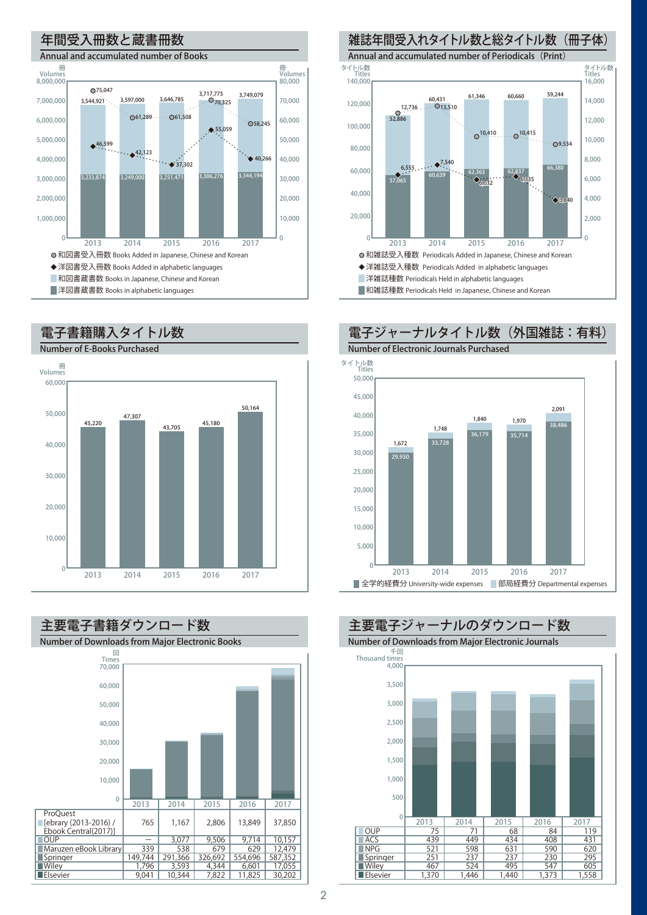



回 Time<sup>E</sup> 主要電子書籍ダウンロード数 Number of Downloads from Major Electronic Books 2013 2014 2015 2016 2017 60,000 50,000 40,000 30,000 20,000 10,000 0 70,000 37,850 10,157 12,479 587,352 17.05  $\frac{11}{30,202}$ 13,849 9,714 629 554,696 6,601 11,825 2,806 9,506 679 326,692 4,344 7,822 1,167 3,077 538 291,366 3,593 10,344 765 - 339 149,744 1,796  $\frac{1}{9.041}$ **ProQuest** [ebrary (2013-2016) / Ebook Central(2017)] <u>oup</u> Maruzen eBook Library Springer **Wiley**  $E$ Elsevie

#### 雑誌年間受入れタイトル数と総タイトル数(冊子体) Annual and accumulated number of Periodicals (Print) 16,000 14,000 12,000 10,000 8,000 6,000 4,000 2,000 ■洋雑誌種数 Periodicals Held in alphabetic languages ■和雑誌種数 Periodicals Held in Japanese, Chinese and Korean 和雑誌受入種数 Periodicals Added in Japanese, Chinese and Korean ◆洋雑誌受入種数 Periodicals Added in alphabetic languages 140,000 タイトル数 Titles タイトル数 Titles 120,000 100,000 80,000 60,000 40,000 20,000 0 2013 2014 2015 2016 2017 0  $\mathcal{F}_{\mathcal{C}}$  $\begin{array}{c|c}\n66,380 \\
\hline\n60,639\n\end{array}$  62,363<br>  $\begin{array}{c}\n66,380 \\
\hline\n6,335\n\end{array}$  66,380  $0^{12,736}$ 60,660 59,244<br>12,736 0.431 60,510  $O^{10,410}$   $O^{10,415}$ 3,840  $\triangle$ <sub>6.03</sub> 9,534 6,555  $\bullet^{7,540}$



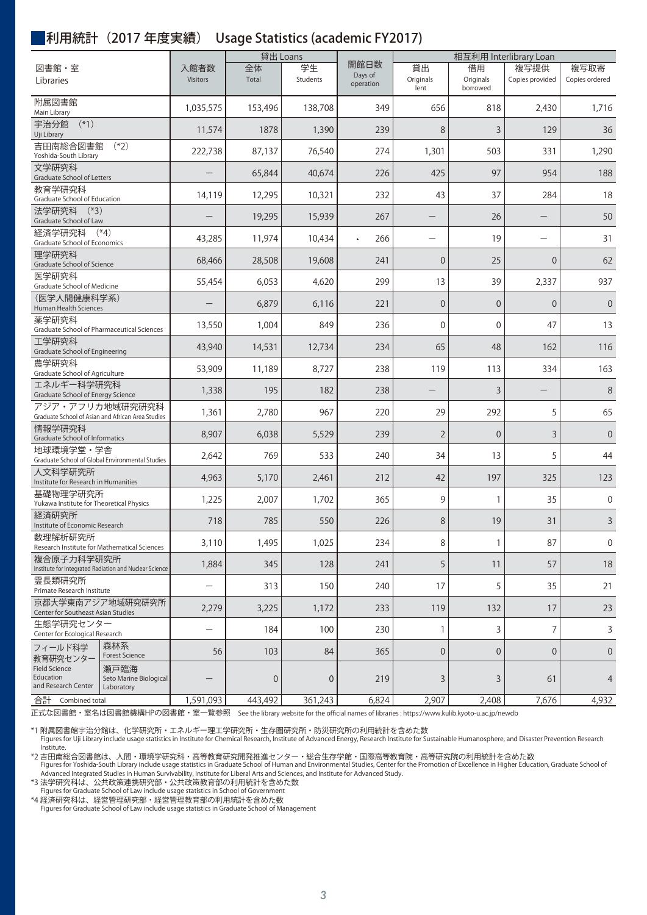#### 利用統計(2017 年度実績) Usage Statistics (academic FY2017)

| 図書館・室<br>Libraries                                                       |                                              | 入館者数<br><b>Visitors</b>  | 貸出 Loans    |                |                              | 相互利用 Interlibrary Loan   |                             |                          |                        |  |
|--------------------------------------------------------------------------|----------------------------------------------|--------------------------|-------------|----------------|------------------------------|--------------------------|-----------------------------|--------------------------|------------------------|--|
|                                                                          |                                              |                          | 全体<br>Total | 学生<br>Students | 開館日数<br>Days of<br>operation | 貸出<br>Originals<br>lent  | 借用<br>Originals<br>borrowed | 複写提供<br>Copies provided  | 複写取寄<br>Copies ordered |  |
| 附属図書館<br>Main Library                                                    |                                              | 1,035,575                | 153,496     | 138,708        | 349                          | 656                      | 818                         | 2,430                    | 1,716                  |  |
| $(*1)$<br>宇治分館<br>Uji Library                                            |                                              | 11,574                   | 1878        | 1,390          | 239                          | 8                        | 3                           | 129                      | 36                     |  |
| 吉田南総合図書館<br>$(*2)$<br>Yoshida-South Library                              |                                              | 222,738                  | 87,137      | 76,540         | 274                          | 1,301                    | 503                         | 331                      | 1,290                  |  |
| 文学研究科<br>Graduate School of Letters                                      |                                              |                          | 65,844      | 40,674         | 226                          | 425                      | 97                          | 954                      | 188                    |  |
| 教育学研究科<br>Graduate School of Education                                   |                                              | 14,119                   | 12,295      | 10,321         | 232                          | 43                       | 37                          | 284                      | 18                     |  |
| 法学研究科<br>$(*3)$<br>Graduate School of Law                                |                                              |                          | 19,295      | 15,939         | 267                          |                          | 26                          |                          | 50                     |  |
| 経済学研究科<br>$(*4)$<br>Graduate School of Economics                         |                                              | 43,285                   | 11,974      | 10,434         | 266                          | $\overline{\phantom{0}}$ | 19                          | $\overline{\phantom{0}}$ | 31                     |  |
| 理学研究科<br>Graduate School of Science                                      |                                              | 68,466                   | 28,508      | 19,608         | 241                          | $\overline{0}$           | 25                          | $\overline{0}$           | 62                     |  |
| 医学研究科<br>Graduate School of Medicine                                     |                                              | 55,454                   | 6,053       | 4,620          | 299                          | 13                       | 39                          | 2,337                    | 937                    |  |
| (医学人間健康科学系)<br>Human Health Sciences                                     |                                              |                          | 6,879       | 6,116          | 221                          | $\overline{0}$           | $\Omega$                    | $\Omega$                 | $\overline{0}$         |  |
| 薬学研究科<br>Graduate School of Pharmaceutical Sciences                      |                                              | 13,550                   | 1,004       | 849            | 236                          | $\overline{0}$           | $\mathbf{0}$                | 47                       | 13                     |  |
| 工学研究科<br>Graduate School of Engineering                                  |                                              | 43,940                   | 14,531      | 12,734         | 234                          | 65                       | 48                          | 162                      | 116                    |  |
| 農学研究科<br>Graduate School of Agriculture                                  |                                              | 53,909                   | 11,189      | 8,727          | 238                          | 119                      | 113                         | 334                      | 163                    |  |
| エネルギー科学研究科<br>Graduate School of Energy Science                          |                                              | 1,338                    | 195         | 182            | 238                          |                          | 3                           |                          | 8                      |  |
| アジア・アフリカ地域研究研究科<br>Graduate School of Asian and African Area Studies     |                                              | 1,361                    | 2,780       | 967            | 220                          | 29                       | 292                         | 5                        | 65                     |  |
| 情報学研究科<br>Graduate School of Informatics                                 |                                              | 8,907                    | 6,038       | 5,529          | 239                          | $\overline{2}$           | $\Omega$                    | 3                        | $\overline{0}$         |  |
| 地球環境学堂·学舎<br>Graduate School of Global Environmental Studies             |                                              | 2,642                    | 769         | 533            | 240                          | 34                       | 13                          | 5                        | 44                     |  |
| 人文科学研究所<br>Institute for Research in Humanities                          |                                              | 4,963                    | 5,170       | 2,461          | 212                          | 42                       | 197                         | 325                      | 123                    |  |
| 基礎物理学研究所<br>Yukawa Institute for Theoretical Physics                     |                                              | 1,225                    | 2,007       | 1,702          | 365                          | 9                        | 1                           | 35                       | $\mathbf 0$            |  |
| 経済研究所<br>Institute of Economic Research                                  |                                              | 718                      | 785         | 550            | 226                          | 8                        | 19                          | 31                       | 3                      |  |
| 数理解析研究所<br>Research Institute for Mathematical Sciences                  |                                              | 3,110                    | 1,495       | 1,025          | 234                          | 8                        | 1                           | 87                       | $\mathbf 0$            |  |
| 複合原子力科学研究所<br>Institute for Integrated Radiation and Nuclear Science     |                                              | 1,884                    | 345         | 128            | 241                          | 5                        | 11                          | 57                       | 18                     |  |
| 霊長類研究所<br>Primate Research Institute                                     |                                              | $\overline{\phantom{0}}$ | 313         | 150            | 240                          | 17                       | 5                           | 35                       | 21                     |  |
| 京都大学東南アジア地域研究研究所<br>Center for Southeast Asian Studies                   |                                              | 2,279                    | 3,225       | 1,172          | 233                          | 119                      | 132                         | 17                       | 23                     |  |
| 生態学研究センター<br>Center for Ecological Research                              |                                              | $\overline{\phantom{0}}$ | 184         | 100            | 230                          | 1                        | 3                           | 7                        | 3                      |  |
| フィールド科学<br>教育研究センター<br>Field Science<br>Education<br>and Research Center | 森林系<br><b>Forest Science</b>                 | 56                       | 103         | 84             | 365                          | $\overline{0}$           | $\overline{0}$              | $\overline{0}$           | $\theta$               |  |
|                                                                          | 瀬戸臨海<br>Seto Marine Biological<br>Laboratory |                          | $\mathbf 0$ | $\mathbf 0$    | 219                          | 3                        | 3                           | 61                       | 4                      |  |
| 合計<br>Combined total                                                     |                                              | 1,591,093                | 443,492     | 361,243        | 6,824                        | 2,907                    | 2,408                       | 7,676                    | 4,932                  |  |

正式な図書館・室名は図書館機構HPの図書館・室一覧参照 See the library website for the official names of libraries : https://www.kulib.kyoto-u.ac.jp/newdb

\*1 附属図書館宇治分館は、化学研究所・エネルギー理工学研究所・生存圏研究所・防災研究所の利用統計を含めた数<br>Figures for Uji Library include usage statistics in Institute for Chemical Research, Institute of Advanced Energy, Research Institute for Sustainable Humanosphere, a Institute.

\*2 吉田南総合図書館は、人間・環境学研究科・高等教育研究開発推進センター・総合生存学館・国際高等教育院・高等研究院の利用統計を含めた数

Figures for Yoshida-South Library include usage statistics in Graduate School of Human and Environmental Studies, Center for the Promotion of Excellence in Higher Education, Graduate School of Advanced Integrated Studies in Human Survivability, Institute for Liberal Arts and Sciences, and Institute for Advanced Study.

\*3 法学研究科は、公共政策連携研究部・公共政策教育部の利用統計を含めた数 Figures for Graduate School of Law include usage statistics in School of Government

\*4 経済研究科は、経営管理研究部・経営管理教育部の利用統計を含めた数 Figures for Graduate School of Law include usage statistics in Graduate School of Management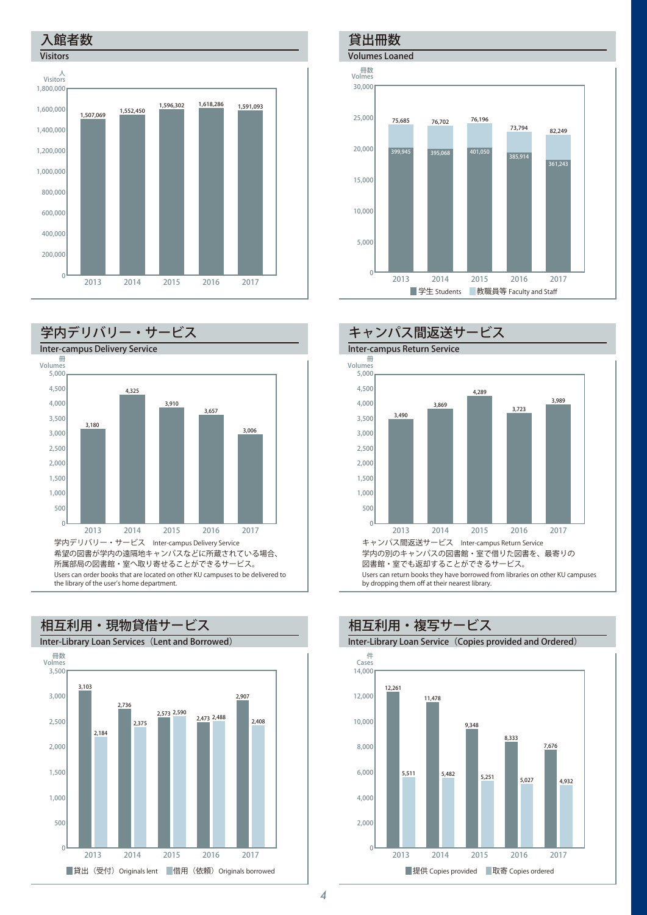



Users can order books that are located on other KU campuses to be delivered to the library of the user's home department.



### 貸出冊数

Volumes Loaned





■提供 Copies provided ■取寄 Copies ordered 件 Cases 相互利用・複写サービス Inter-Library Loan Service (Copies provided and Ordered) 2013 2014 2015 2016 2017 0 12,000 10,000 8,000 6,000 4,000  $2,000$ 14,000 12,261 11,478 9,348 8,333 7,676 5,511 5,482 5,251 5,027 4,932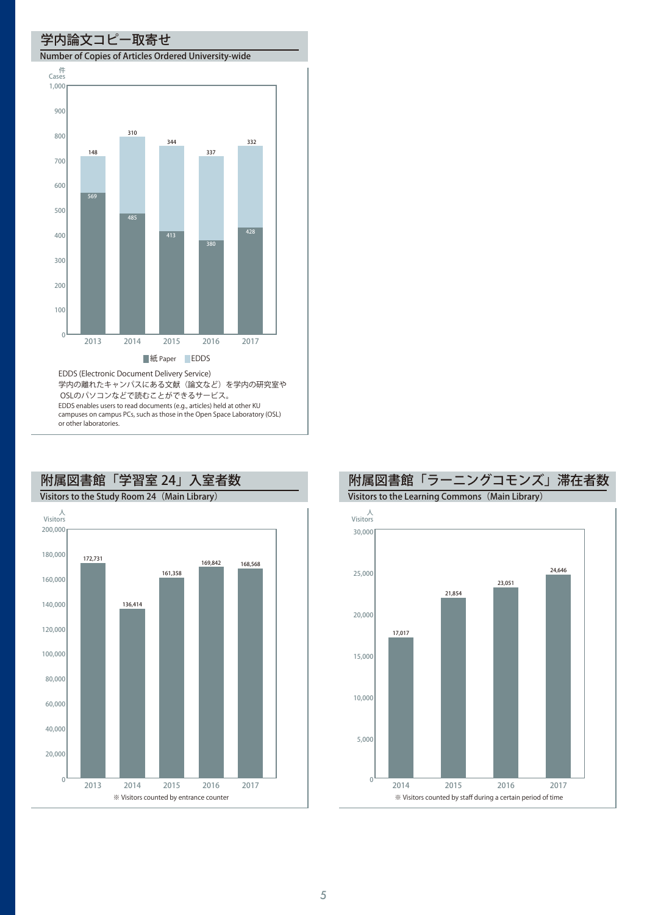#### 学内論文コピー取寄せ

#### Number of Copies of Articles Ordered University-wide



EDDS enables users to read documents (e.g., articles) held at other KU campuses on campus PCs, such as those in the Open Space Laboratory (OSL) or other laboratories.



# 附属図書館「学習室 24」入室者数



附属図書館「ラーニングコモンズ」滞在者数

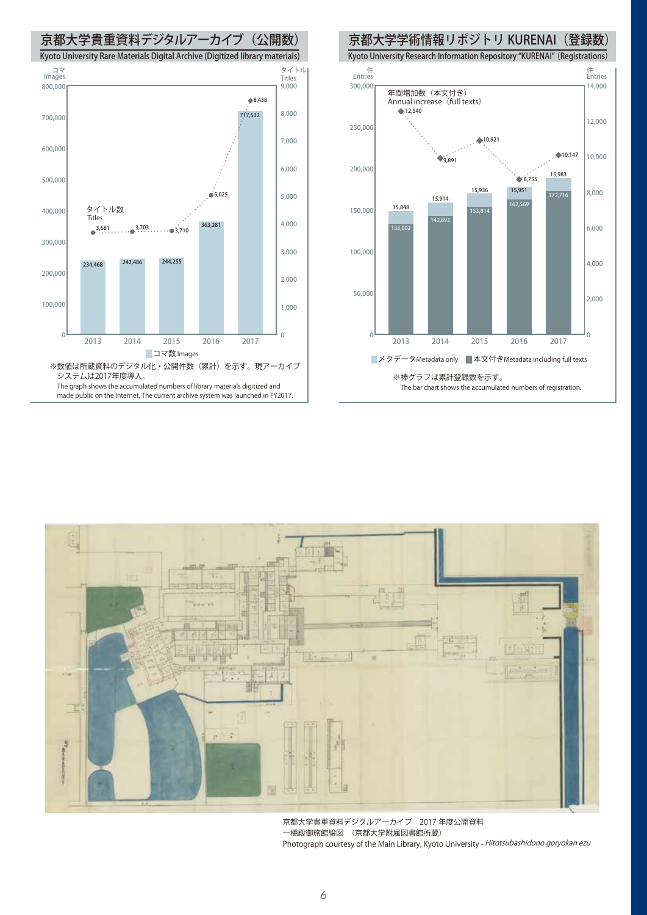







京都大学貴重資料デジタルアーカイブ 2017 年度公開資料 一橋殿御旅館絵図 (京都大学附属図書館所蔵) Photograph courtesy of the Main Library, Kyoto University - Hitotsubashidono goryokan ezu